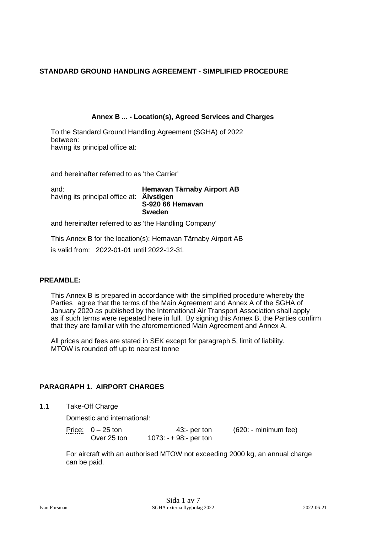### **STANDARD GROUND HANDLING AGREEMENT - SIMPLIFIED PROCEDURE**

### **Annex B ... - Location(s), Agreed Services and Charges**

To the Standard Ground Handling Agreement (SGHA) of 2022 between: having its principal office at:

and hereinafter referred to as 'the Carrier'

and: **Hemavan Tärnaby Airport AB** having its principal office at: **Älvstigen S-920 66 Hemavan Sweden**

and hereinafter referred to as 'the Handling Company'

This Annex B for the location(s): Hemavan Tärnaby Airport AB is valid from: 2022**-**01-01 until 2022-12-31

#### **PREAMBLE:**

This Annex B is prepared in accordance with the simplified procedure whereby the Parties agree that the terms of the Main Agreement and Annex A of the SGHA of January 2020 as published by the International Air Transport Association shall apply as if such terms were repeated here in full. By signing this Annex B, the Parties confirm that they are familiar with the aforementioned Main Agreement and Annex A.

All prices and fees are stated in SEK except for paragraph 5, limit of liability. MTOW is rounded off up to nearest tonne

### **PARAGRAPH 1. AIRPORT CHARGES**

### 1.1 Take-Off Charge

Domestic and international:

| . | Price: $0 - 25$ ton | $43:$ - per ton        | (620: - minimum fee) |
|---|---------------------|------------------------|----------------------|
|   | Over 25 ton         | $1073: -+98:-$ per ton |                      |

For aircraft with an authorised MTOW not exceeding 2000 kg, an annual charge can be paid.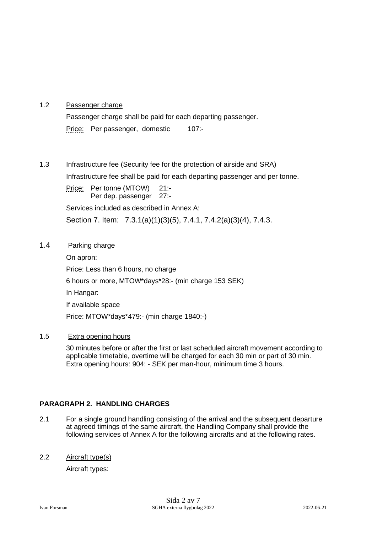## 1.2 Passenger charge

Passenger charge shall be paid for each departing passenger. Price: Per passenger, domestic 107:-

# 1.3 Infrastructure fee (Security fee for the protection of airside and SRA)

Infrastructure fee shall be paid for each departing passenger and per tonne.

Price: Per tonne (MTOW) 21:-Per dep. passenger 27:-Services included as described in Annex A:

Section 7. Item: 7.3.1(a)(1)(3)(5), 7.4.1, 7.4.2(a)(3)(4), 7.4.3.

### 1.4 Parking charge

On apron: Price: Less than 6 hours, no charge 6 hours or more, MTOW\*days\*28:- (min charge 153 SEK) In Hangar: If available space Price: MTOW\*days\*479:- (min charge 1840:-)

### 1.5 Extra opening hours

30 minutes before or after the first or last scheduled aircraft movement according to applicable timetable, overtime will be charged for each 30 min or part of 30 min. Extra opening hours: 904: - SEK per man-hour, minimum time 3 hours.

### **PARAGRAPH 2. HANDLING CHARGES**

2.1 For a single ground handling consisting of the arrival and the subsequent departure at agreed timings of the same aircraft, the Handling Company shall provide the following services of Annex A for the following aircrafts and at the following rates.

### 2.2 Aircraft type(s)

Aircraft types: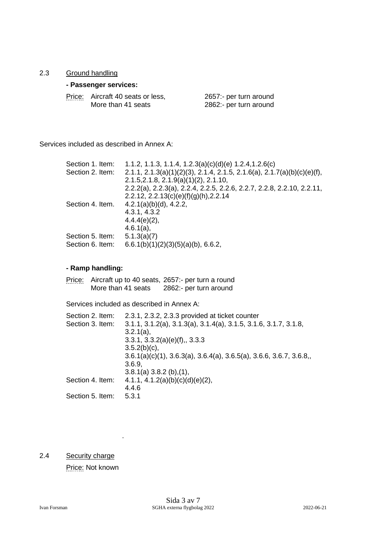### 2.3 Ground handling

### **- Passenger services:**

| Price: Aircraft 40 seats or less, | 2657:- per turn around |
|-----------------------------------|------------------------|
| More than 41 seats                | 2862:- per turn around |

Services included as described in Annex A:

| 1.1.2, 1.1.3, 1.1.4, 1.2.3(a)(c)(d)(e) 1.2.4, 1.2.6(c)                  |
|-------------------------------------------------------------------------|
| 2.1.1, 2.1.3(a)(1)(2)(3), 2.1.4, 2.1.5, 2.1.6(a), 2.1.7(a)(b)(c)(e)(f), |
| 2.1.5, 2.1.8, 2.1.9(a)(1)(2), 2.1.10,                                   |
| 2.2.2(a), 2.2.3(a), 2.2.4, 2.2.5, 2.2.6, 2.2.7, 2.2.8, 2.2.10, 2.2.11,  |
| 2.2.12, 2.2.13(c)(e)(f)(g)(h), 2.2.14                                   |
| $4.2.1(a)(b)(d)$ , 4.2.2,                                               |
| 4.3.1, 4.3.2                                                            |
| $4.4.4(e)(2)$ ,                                                         |
| $4.6.1(a)$ ,                                                            |
| 5.1.3(a)(7)                                                             |
| $6.6.1(b)(1)(2)(3)(5)(a)(b)$ , 6.6.2,                                   |
|                                                                         |

#### **- Ramp handling:**

Price: Aircraft up to 40 seats, 2657:- per turn a round<br>More than 41 seats 2862:- per turn around More than 41 seats

Services included as described in Annex A:

| Section 2. Item: | 2.3.1, 2.3.2, 2.3.3 provided at ticket counter                       |
|------------------|----------------------------------------------------------------------|
| Section 3. Item: | $3.1.1, 3.1.2(a), 3.1.3(a), 3.1.4(a), 3.1.5, 3.1.6, 3.1.7, 3.1.8,$   |
|                  | $3.2.1(a)$ ,                                                         |
|                  | 3.3.1, 3.3.2(a)(e)(f), 3.3.3                                         |
|                  | $3.5.2(b)(c)$ ,                                                      |
|                  | $3.6.1(a)(c)(1), 3.6.3(a), 3.6.4(a), 3.6.5(a), 3.6.6, 3.6.7, 3.6.8,$ |
|                  | 3.6.9.                                                               |
|                  | 3.8.1(a) 3.8.2(b), (1),                                              |
| Section 4. Item: | 4.1.1, 4.1.2(a)(b)(c)(d)(e)(2),                                      |
|                  | 4.4.6                                                                |
| Section 5. Item: | 5.3.1                                                                |

2.4 Security charge

Price: Not known

.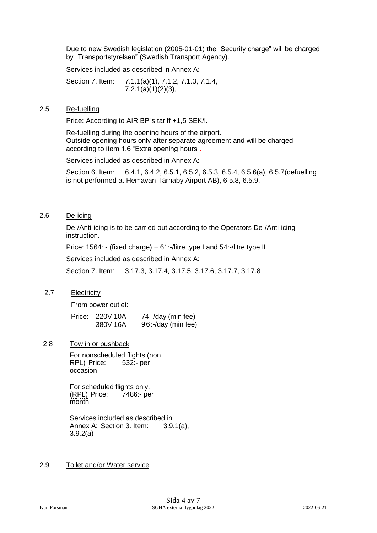Due to new Swedish legislation (2005-01-01) the "Security charge" will be charged by "Transportstyrelsen".(Swedish Transport Agency).

Services included as described in Annex A:

Section 7. Item: 7.1.1(a)(1), 7.1.2, 7.1.3, 7.1.4, 7.2.1(a)(1)(2)(3),

#### 2.5 Re-fuelling

Price: According to AIR BP's tariff +1,5 SEK/l.

Re-fuelling during the opening hours of the airport. Outside opening hours only after separate agreement and will be charged according to item 1.6 "Extra opening hours".

Services included as described in Annex A:

Section 6. Item: 6.4.1, 6.4.2, 6.5.1, 6.5.2, 6.5.3, 6.5.4, 6.5.6(a), 6.5.7(defuelling is not performed at Hemavan Tärnaby Airport AB), 6.5.8, 6.5.9.

### 2.6 De-icing

De-/Anti-icing is to be carried out according to the Operators De-/Anti-icing instruction.

Price: 1564: - (fixed charge) + 61:-/litre type I and 54:-/litre type II

Services included as described in Annex A:

Section 7. Item: 3.17.3, 3.17.4, 3.17.5, 3.17.6, 3.17.7, 3.17.8

### 2.7 Electricity

From power outlet:

| Price: 220V 10A | 74:-/day (min fee) |
|-----------------|--------------------|
| 380V 16A        | 96:-/day (min fee) |

### 2.8 Tow in or pushback

For nonscheduled flights (non RPL) Price: 532:- per occasion

For scheduled flights only, (RPL) Price: 7486:- per month

Services included as described in Annex A: Section 3. Item: 3.9.1(a), 3.9.2(a)

### 2.9 Toilet and/or Water service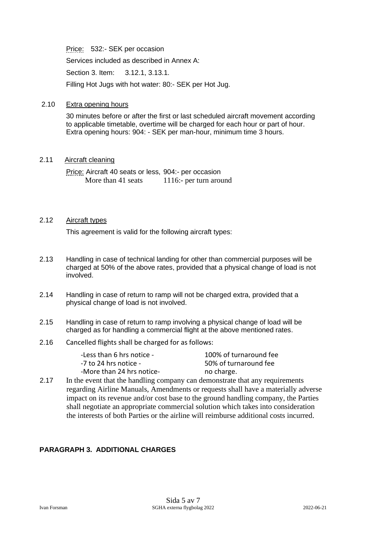Price: 532:- SEK per occasion

Services included as described in Annex A:

Section 3. Item: 3.12.1, 3.13.1.

Filling Hot Jugs with hot water: 80:- SEK per Hot Jug.

### 2.10 Extra opening hours

30 minutes before or after the first or last scheduled aircraft movement according to applicable timetable, overtime will be charged for each hour or part of hour. Extra opening hours: 904: - SEK per man-hour, minimum time 3 hours.

#### 2.11 Aircraft cleaning

Price: Aircraft 40 seats or less, 904:- per occasion More than 41 seats 1116:- per turn around

## 2.12 Aircraft types

This agreement is valid for the following aircraft types:

- 2.13 Handling in case of technical landing for other than commercial purposes will be charged at 50% of the above rates, provided that a physical change of load is not involved.
- 2.14 Handling in case of return to ramp will not be charged extra, provided that a physical change of load is not involved.
- 2.15 Handling in case of return to ramp involving a physical change of load will be charged as for handling a commercial flight at the above mentioned rates.
- 2.16 Cancelled flights shall be charged for as follows:

| -Less than 6 hrs notice - | 100% of tu  |
|---------------------------|-------------|
| -7 to 24 hrs notice -     | 50% of turi |
| -More than 24 hrs notice- | no charge.  |

100% of turnaround fee 50% of turnaround fee

2.17 In the event that the handling company can demonstrate that any requirements regarding Airline Manuals, Amendments or requests shall have a materially adverse impact on its revenue and/or cost base to the ground handling company, the Parties shall negotiate an appropriate commercial solution which takes into consideration the interests of both Parties or the airline will reimburse additional costs incurred.

## **PARAGRAPH 3. ADDITIONAL CHARGES**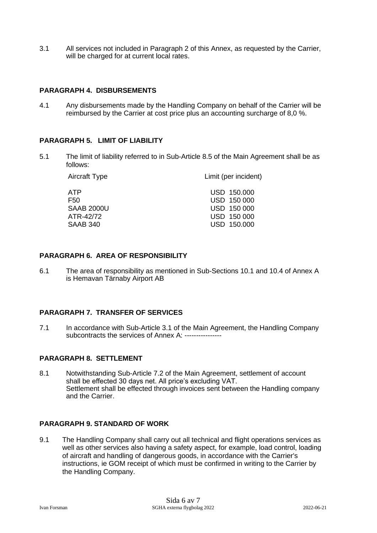3.1 All services not included in Paragraph 2 of this Annex, as requested by the Carrier, will be charged for at current local rates.

#### **PARAGRAPH 4. DISBURSEMENTS**

4.1 Any disbursements made by the Handling Company on behalf of the Carrier will be reimbursed by the Carrier at cost price plus an accounting surcharge of 8,0 %.

#### **PARAGRAPH 5. LIMIT OF LIABILITY**

5.1 The limit of liability referred to in Sub-Article 8.5 of the Main Agreement shall be as follows:

| Aircraft Type     | Limit (per incident) |
|-------------------|----------------------|
| ATP.              | USD 150,000          |
| F50               | USD 150 000          |
| <b>SAAB 2000U</b> | USD 150 000          |
| ATR-42/72         | USD 150 000          |
| SAAB 340          | USD 150,000          |

#### **PARAGRAPH 6. AREA OF RESPONSIBILITY**

6.1 The area of responsibility as mentioned in Sub-Sections 10.1 and 10.4 of Annex A is Hemavan Tärnaby Airport AB

#### **PARAGRAPH 7. TRANSFER OF SERVICES**

7.1 In accordance with Sub-Article 3.1 of the Main Agreement, the Handling Company subcontracts the services of Annex A: ----------------

### **PARAGRAPH 8. SETTLEMENT**

8.1 Notwithstanding Sub-Article 7.2 of the Main Agreement, settlement of account shall be effected 30 days net. All price's excluding VAT. Settlement shall be effected through invoices sent between the Handling company and the Carrier.

#### **PARAGRAPH 9. STANDARD OF WORK**

9.1 The Handling Company shall carry out all technical and flight operations services as well as other services also having a safety aspect, for example, load control, loading of aircraft and handling of dangerous goods, in accordance with the Carrier's instructions, ie GOM receipt of which must be confirmed in writing to the Carrier by the Handling Company.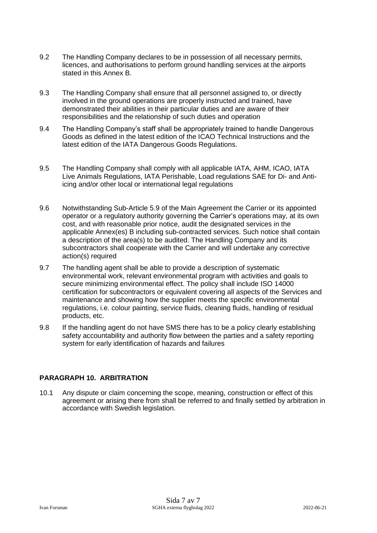- 9.2 The Handling Company declares to be in possession of all necessary permits, licences, and authorisations to perform ground handling services at the airports stated in this Annex B.
- 9.3 The Handling Company shall ensure that all personnel assigned to, or directly involved in the ground operations are properly instructed and trained, have demonstrated their abilities in their particular duties and are aware of their responsibilities and the relationship of such duties and operation
- 9.4 The Handling Company's staff shall be appropriately trained to handle Dangerous Goods as defined in the latest edition of the ICAO Technical Instructions and the latest edition of the IATA Dangerous Goods Regulations.
- 9.5 The Handling Company shall comply with all applicable IATA, AHM, ICAO, IATA Live Animals Regulations, IATA Perishable, Load regulations SAE for Di- and Antiicing and/or other local or international legal regulations
- 9.6 Notwithstanding Sub-Article 5.9 of the Main Agreement the Carrier or its appointed operator or a regulatory authority governing the Carrier's operations may, at its own cost, and with reasonable prior notice, audit the designated services in the applicable Annex(es) B including sub-contracted services. Such notice shall contain a description of the area(s) to be audited. The Handling Company and its subcontractors shall cooperate with the Carrier and will undertake any corrective action(s) required
- 9.7 The handling agent shall be able to provide a description of systematic environmental work, relevant environmental program with activities and goals to secure minimizing environmental effect. The policy shall include ISO 14000 certification for subcontractors or equivalent covering all aspects of the Services and maintenance and showing how the supplier meets the specific environmental regulations, i.e. colour painting, service fluids, cleaning fluids, handling of residual products, etc.
- 9.8 If the handling agent do not have SMS there has to be a policy clearly establishing safety accountability and authority flow between the parties and a safety reporting system for early identification of hazards and failures

### **PARAGRAPH 10. ARBITRATION**

10.1 Any dispute or claim concerning the scope, meaning, construction or effect of this agreement or arising there from shall be referred to and finally settled by arbitration in accordance with Swedish legislation.